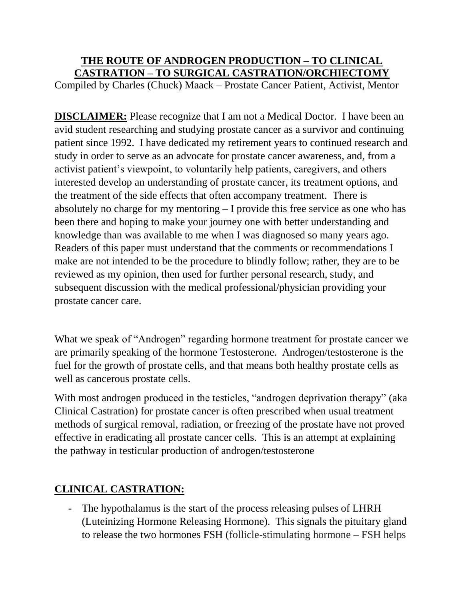## **THE ROUTE OF ANDROGEN PRODUCTION – TO CLINICAL CASTRATION – TO SURGICAL CASTRATION/ORCHIECTOMY**

Compiled by Charles (Chuck) Maack – Prostate Cancer Patient, Activist, Mentor

**DISCLAIMER:** Please recognize that I am not a Medical Doctor. I have been an avid student researching and studying prostate cancer as a survivor and continuing patient since 1992. I have dedicated my retirement years to continued research and study in order to serve as an advocate for prostate cancer awareness, and, from a activist patient's viewpoint, to voluntarily help patients, caregivers, and others interested develop an understanding of prostate cancer, its treatment options, and the treatment of the side effects that often accompany treatment. There is absolutely no charge for my mentoring – I provide this free service as one who has been there and hoping to make your journey one with better understanding and knowledge than was available to me when I was diagnosed so many years ago. Readers of this paper must understand that the comments or recommendations I make are not intended to be the procedure to blindly follow; rather, they are to be reviewed as my opinion, then used for further personal research, study, and subsequent discussion with the medical professional/physician providing your prostate cancer care.

What we speak of "Androgen" regarding hormone treatment for prostate cancer we are primarily speaking of the hormone Testosterone. Androgen/testosterone is the fuel for the growth of prostate cells, and that means both healthy prostate cells as well as cancerous prostate cells.

With most androgen produced in the testicles, "androgen deprivation therapy" (aka Clinical Castration) for prostate cancer is often prescribed when usual treatment methods of surgical removal, radiation, or freezing of the prostate have not proved effective in eradicating all prostate cancer cells. This is an attempt at explaining the pathway in testicular production of androgen/testosterone

## **CLINICAL CASTRATION:**

- The hypothalamus is the start of the process releasing pulses of LHRH (Luteinizing Hormone Releasing Hormone). This signals the pituitary gland to release the two hormones FSH (follicle-stimulating hormone – FSH helps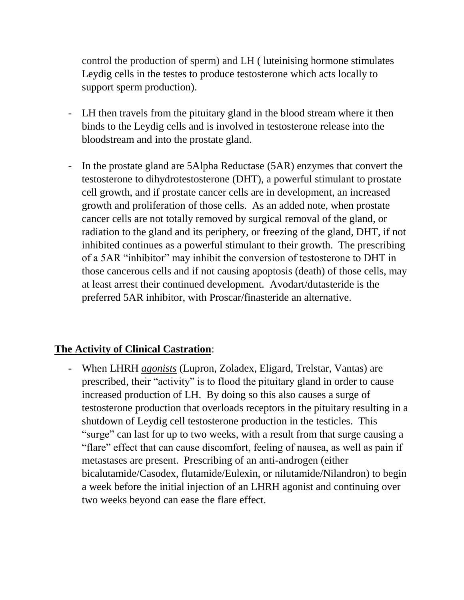control the production of sperm) and LH ( luteinising hormone stimulates Leydig cells in the testes to produce testosterone which acts locally to support sperm production).

- LH then travels from the pituitary gland in the blood stream where it then binds to the Leydig cells and is involved in testosterone release into the bloodstream and into the prostate gland.
- In the prostate gland are 5Alpha Reductase (5AR) enzymes that convert the testosterone to dihydrotestosterone (DHT), a powerful stimulant to prostate cell growth, and if prostate cancer cells are in development, an increased growth and proliferation of those cells. As an added note, when prostate cancer cells are not totally removed by surgical removal of the gland, or radiation to the gland and its periphery, or freezing of the gland, DHT, if not inhibited continues as a powerful stimulant to their growth. The prescribing of a 5AR "inhibitor" may inhibit the conversion of testosterone to DHT in those cancerous cells and if not causing apoptosis (death) of those cells, may at least arrest their continued development. Avodart/dutasteride is the preferred 5AR inhibitor, with Proscar/finasteride an alternative.

## **The Activity of Clinical Castration**:

- When LHRH *agonists* (Lupron, Zoladex, Eligard, Trelstar, Vantas) are prescribed, their "activity" is to flood the pituitary gland in order to cause increased production of LH. By doing so this also causes a surge of testosterone production that overloads receptors in the pituitary resulting in a shutdown of Leydig cell testosterone production in the testicles. This "surge" can last for up to two weeks, with a result from that surge causing a "flare" effect that can cause discomfort, feeling of nausea, as well as pain if metastases are present. Prescribing of an anti-androgen (either bicalutamide/Casodex, flutamide/Eulexin, or nilutamide/Nilandron) to begin a week before the initial injection of an LHRH agonist and continuing over two weeks beyond can ease the flare effect.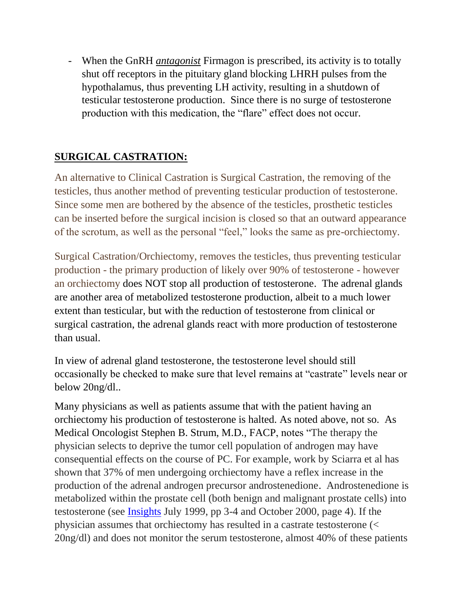- When the GnRH *antagonist* Firmagon is prescribed, its activity is to totally shut off receptors in the pituitary gland blocking LHRH pulses from the hypothalamus, thus preventing LH activity, resulting in a shutdown of testicular testosterone production. Since there is no surge of testosterone production with this medication, the "flare" effect does not occur.

## **SURGICAL CASTRATION:**

An alternative to Clinical Castration is Surgical Castration, the removing of the testicles, thus another method of preventing testicular production of testosterone. Since some men are bothered by the absence of the testicles, prosthetic testicles can be inserted before the surgical incision is closed so that an outward appearance of the scrotum, as well as the personal "feel," looks the same as pre-orchiectomy.

Surgical Castration/Orchiectomy, removes the testicles, thus preventing testicular production - the primary production of likely over 90% of testosterone - however an orchiectomy does NOT stop all production of testosterone. The adrenal glands are another area of metabolized testosterone production, albeit to a much lower extent than testicular, but with the reduction of testosterone from clinical or surgical castration, the adrenal glands react with more production of testosterone than usual.

In view of adrenal gland testosterone, the testosterone level should still occasionally be checked to make sure that level remains at "castrate" levels near or below 20ng/dl..

Many physicians as well as patients assume that with the patient having an orchiectomy his production of testosterone is halted. As noted above, not so. As Medical Oncologist Stephen B. Strum, M.D., FACP, notes "The therapy the physician selects to deprive the tumor cell population of androgen may have consequential effects on the course of PC. For example, work by Sciarra et al has shown that 37% of men undergoing orchiectomy have a reflex increase in the production of the adrenal androgen precursor androstenedione. Androstenedione is metabolized within the prostate cell (both benign and malignant prostate cells) into testosterone (see [Insights](http://prostate-cancer.org/newsletters/) July 1999, pp 3-4 and October 2000, page 4). If the physician assumes that orchiectomy has resulted in a castrate testosterone (< 20ng/dl) and does not monitor the serum testosterone, almost 40% of these patients